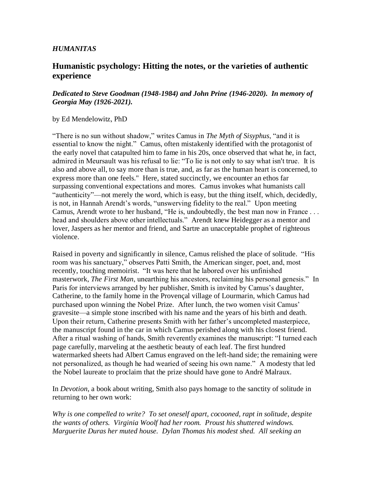# *HUMANITAS*

# **Humanistic psychology: Hitting the notes, or the varieties of authentic experience**

# *Dedicated to Steve Goodman (1948-1984) and John Prine (1946-2020). In memory of Georgia May (1926-2021).*

### by Ed Mendelowitz, PhD

"There is no sun without shadow," writes Camus in *The Myth of Sisyphus*, "and it is essential to know the night." Camus, often mistakenly identified with the protagonist of the early novel that catapulted him to fame in his 20s, once observed that what he, in fact, admired in Meursault was his refusal to lie: "To lie is not only to say what isn't true. It is also and above all, to say more than is true, and, as far as the human heart is concerned, to express more than one feels." Here, stated succinctly, we encounter an ethos far surpassing conventional expectations and mores. Camus invokes what humanists call "authenticity"—not merely the word, which is easy, but the thing itself, which, decidedly, is not, in Hannah Arendt's words, "unswerving fidelity to the real." Upon meeting Camus, Arendt wrote to her husband, "He is, undoubtedly, the best man now in France . . . head and shoulders above other intellectuals." Arendt knew Heidegger as a mentor and lover, Jaspers as her mentor and friend, and Sartre an unacceptable prophet of righteous violence.

Raised in poverty and significantly in silence, Camus relished the place of solitude. "His room was his sanctuary," observes Patti Smith, the American singer, poet, and, most recently, touching memoirist. "It was here that he labored over his unfinished masterwork, *The First Man*, unearthing his ancestors, reclaiming his personal genesis." In Paris for interviews arranged by her publisher, Smith is invited by Camus's daughter, Catherine, to the family home in the Provençal village of Lourmarin, which Camus had purchased upon winning the Nobel Prize. After lunch, the two women visit Camus' gravesite—a simple stone inscribed with his name and the years of his birth and death. Upon their return, Catherine presents Smith with her father's uncompleted masterpiece, the manuscript found in the car in which Camus perished along with his closest friend. After a ritual washing of hands, Smith reverently examines the manuscript: "I turned each page carefully, marveling at the aesthetic beauty of each leaf. The first hundred watermarked sheets had Albert Camus engraved on the left-hand side; the remaining were not personalized, as though he had wearied of seeing his own name." A modesty that led the Nobel laureate to proclaim that the prize should have gone to André Malraux.

In *Devotion*, a book about writing, Smith also pays homage to the sanctity of solitude in returning to her own work:

*Why is one compelled to write? To set oneself apart, cocooned, rapt in solitude, despite the wants of others. Virginia Woolf had her room. Proust his shuttered windows. Marguerite Duras her muted house. Dylan Thomas his modest shed. All seeking an*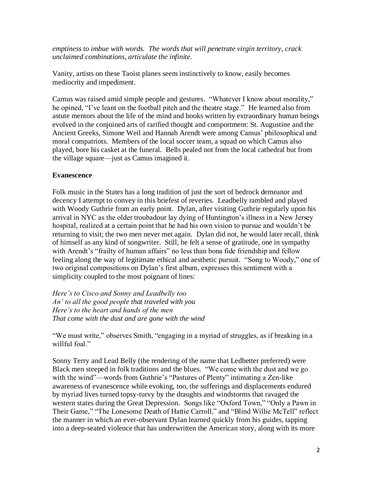*emptiness to imbue with words. The words that will penetrate virgin territory, crack unclaimed combinations, articulate the infinite.*

Vanity, artists on these Taoist planes seem instinctively to know, easily becomes mediocrity and impediment.

Camus was raised amid simple people and gestures. "Whatever I know about morality," he opined, "I've leant on the football pitch and the theatre stage." He learned also from astute mentors about the life of the mind and books written by extraordinary human beings evolved in the conjoined arts of rarified thought and comportment: St. Augustine and the Ancient Greeks, Simone Weil and Hannah Arendt were among Camus' philosophical and moral compatriots. Members of the local soccer team, a squad on which Camus also played, bore his casket at the funeral. Bells pealed not from the local cathedral but from the village square—just as Camus imagined it.

### **Evanescence**

Folk music in the States has a long tradition of just the sort of bedrock demeanor and decency I attempt to convey in this briefest of reveries. Leadbelly rambled and played with Woody Guthrie from an early point. Dylan, after visiting Guthrie regularly upon his arrival in NYC as the older troubadour lay dying of Huntington's illness in a New Jersey hospital, realized at a certain point that he had his own vision to pursue and wouldn't be returning to visit; the two men never met again. Dylan did not, he would later recall, think of himself as any kind of songwriter. Still, he felt a sense of gratitude, one in sympathy with Arendt's "frailty of human affairs" no less than bona fide friendship and fellow feeling along the way of legitimate ethical and aesthetic pursuit. "Song to Woody," one of two original compositions on Dylan's first album, expresses this sentiment with a simplicity coupled to the most poignant of lines:

*Here's to Cisco and Sonny and Leadbelly too An' to all the good people that traveled with you Here's to the heart and hands of the men That come with the dust and are gone with the wind*

"We must write," observes Smith, "engaging in a myriad of struggles, as if breaking in a willful foal."

Sonny Terry and Lead Belly (the rendering of the name that Ledbetter preferred) were Black men steeped in folk traditions and the blues. "We come with the dust and we go with the wind"—words from Guthrie's "Pastures of Plenty" intimating a Zen-like awareness of evanescence while evoking, too, the sufferings and displacements endured by myriad lives turned topsy-turvy by the draughts and windstorms that ravaged the western states during the Great Depression. Songs like "Oxford Town," "Only a Pawn in Their Game," "The Lonesome Death of Hattie Carroll," and "Blind Willie McTell" reflect the manner in which an ever-observant Dylan learned quickly from his guides, tapping into a deep-seated violence that has underwritten the American story, along with its more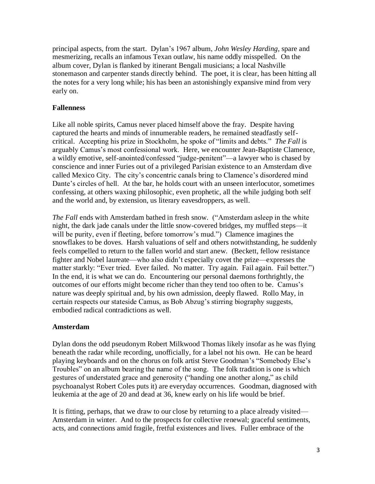principal aspects, from the start. Dylan's 1967 album, *John Wesley Harding*, spare and mesmerizing, recalls an infamous Texan outlaw, his name oddly misspelled. On the album cover, Dylan is flanked by itinerant Bengali musicians; a local Nashville stonemason and carpenter stands directly behind. The poet, it is clear, has been hitting all the notes for a very long while; his has been an astonishingly expansive mind from very early on.

# **Fallenness**

Like all noble spirits, Camus never placed himself above the fray. Despite having captured the hearts and minds of innumerable readers, he remained steadfastly selfcritical. Accepting his prize in Stockholm, he spoke of "limits and debts." *The Fall* is arguably Camus's most confessional work. Here, we encounter Jean-Baptiste Clamence, a wildly emotive, self-anointed/confessed "judge-penitent"—a lawyer who is chased by conscience and inner Furies out of a privileged Parisian existence to an Amsterdam dive called Mexico City. The city's concentric canals bring to Clamence's disordered mind Dante's circles of hell. At the bar, he holds court with an unseen interlocutor, sometimes confessing, at others waxing philosophic, even prophetic, all the while judging both self and the world and, by extension, us literary eavesdroppers, as well.

*The Fall* ends with Amsterdam bathed in fresh snow. ("Amsterdam asleep in the white night, the dark jade canals under the little snow-covered bridges, my muffled steps—it will be purity, even if fleeting, before tomorrow's mud.") Clamence imagines the snowflakes to be doves. Harsh valuations of self and others notwithstanding, he suddenly feels compelled to return to the fallen world and start anew. (Beckett, fellow resistance fighter and Nobel laureate—who also didn't especially covet the prize—expresses the matter starkly: "Ever tried. Ever failed. No matter. Try again. Fail again. Fail better.") In the end, it is what we can do. Encountering our personal daemons forthrightly, the outcomes of our efforts might become richer than they tend too often to be. Camus's nature was deeply spiritual and, by his own admission, deeply flawed. Rollo May, in certain respects our stateside Camus, as Bob Abzug's stirring biography suggests, embodied radical contradictions as well.

### **Amsterdam**

Dylan dons the odd pseudonym Robert Milkwood Thomas likely insofar as he was flying beneath the radar while recording, unofficially, for a label not his own. He can be heard playing keyboards and on the chorus on folk artist Steve Goodman's "Somebody Else's Troubles" on an album bearing the name of the song. The folk tradition is one is which gestures of understated grace and generosity ("handing one another along," as child psychoanalyst Robert Coles puts it) are everyday occurrences. Goodman, diagnosed with leukemia at the age of 20 and dead at 36, knew early on his life would be brief.

It is fitting, perhaps, that we draw to our close by returning to a place already visited— Amsterdam in winter. And to the prospects for collective renewal; graceful sentiments, acts, and connections amid fragile, fretful existences and lives. Fuller embrace of the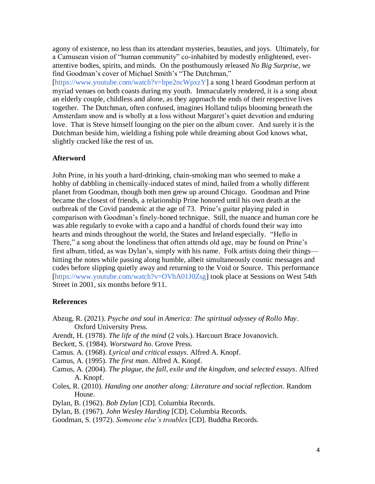agony of existence, no less than its attendant mysteries, beauties, and joys. Ultimately, for a Camusean vision of "human community" co-inhabited by modestly enlightened, everattentive bodies, spirits, and minds. On the posthumously released *No Big Surprise*, we find Goodman's cover of Michael Smith's "The Dutchman,"

[\[https://www.youtube.com/watch?v=bpe2ncWpxzY\]](https://www.youtube.com/watch?v=bpe2ncWpxzY) a song I heard Goodman perform at myriad venues on both coasts during my youth. Immaculately rendered, it is a song about an elderly couple, childless and alone, as they approach the ends of their respective lives together. The Dutchman, often confused, imagines Holland tulips blooming beneath the Amsterdam snow and is wholly at a loss without Margaret's quiet devotion and enduring love. That is Steve himself lounging on the pier on the album cover. And surely it is the Dutchman beside him, wielding a fishing pole while dreaming about God knows what, slightly cracked like the rest of us.

### **Afterword**

John Prine, in his youth a hard-drinking, chain-smoking man who seemed to make a hobby of dabbling in chemically-induced states of mind, hailed from a wholly different planet from Goodman, though both men grew up around Chicago. Goodman and Prine became the closest of friends, a relationship Prine honored until his own death at the outbreak of the Covid pandemic at the age of 73. Prine's guitar playing paled in comparison with Goodman's finely-honed technique. Still, the nuance and human core he was able regularly to evoke with a capo and a handful of chords found their way into hearts and minds throughout the world, the States and Ireland especially. "Hello in There," a song about the loneliness that often attends old age, may be found on Prine's first album, titled, as was Dylan's, simply with his name. Folk artists doing their things hitting the notes while passing along humble, albeit simultaneously cosmic messages and codes before slipping quietly away and returning to the Void or Source. This performance [\[https://www.youtube.com/watch?v=OVhA01J0Zsg\]](https://www.youtube.com/watch?v=OVhA01J0Zsg) took place at Sessions on West 54th Street in 2001, six months before 9/11.

#### **References**

- Abzug, R. (2021). *Psyche and soul in America: The spiritual odyssey of Rollo May*. Oxford University Press.
- Arendt, H. (1978). *The life of the mind* (2 vols.). Harcourt Brace Jovanovich.
- Beckett, S. (1984). *Worstward ho*. Grove Press.
- Camus. A. (1968). *Lyrical and critical essays*. Alfred A. Knopf.
- Camus, A. (1995). *The first man*. Alfred A. Knopf.
- Camus, A. (2004). *The plague, the fall, exile and the kingdom, and selected essays*. Alfred A. Knopf.
- Coles, R. (2010). *Handing one another along: Literature and social reflection*. Random House.
- Dylan, B. (1962). *Bob Dylan* [CD]. Columbia Records.
- Dylan, B. (1967). *John Wesley Harding* [CD]. Columbia Records.
- Goodman, S. (1972). *Someone else's troubles* [CD]. Buddha Records.